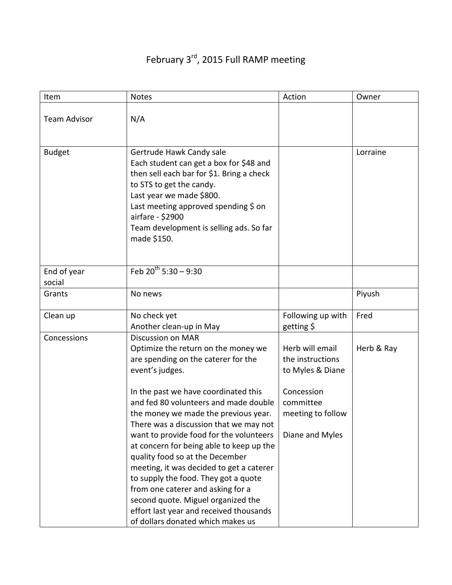## February 3<sup>rd</sup>, 2015 Full RAMP meeting

| Item                  | <b>Notes</b>                                                                                                                                                                                                                                                                                                                                                                                                                                                                                                                                                                                                                                                          | Action                                                                                                                     | Owner      |
|-----------------------|-----------------------------------------------------------------------------------------------------------------------------------------------------------------------------------------------------------------------------------------------------------------------------------------------------------------------------------------------------------------------------------------------------------------------------------------------------------------------------------------------------------------------------------------------------------------------------------------------------------------------------------------------------------------------|----------------------------------------------------------------------------------------------------------------------------|------------|
| <b>Team Advisor</b>   | N/A                                                                                                                                                                                                                                                                                                                                                                                                                                                                                                                                                                                                                                                                   |                                                                                                                            |            |
| <b>Budget</b>         | Gertrude Hawk Candy sale<br>Each student can get a box for \$48 and<br>then sell each bar for \$1. Bring a check<br>to STS to get the candy.<br>Last year we made \$800.<br>Last meeting approved spending \$ on<br>airfare - \$2900<br>Team development is selling ads. So far<br>made \$150.                                                                                                                                                                                                                                                                                                                                                                        |                                                                                                                            | Lorraine   |
| End of year<br>social | Feb $20^{th}$ 5:30 - 9:30                                                                                                                                                                                                                                                                                                                                                                                                                                                                                                                                                                                                                                             |                                                                                                                            |            |
| Grants                | No news                                                                                                                                                                                                                                                                                                                                                                                                                                                                                                                                                                                                                                                               |                                                                                                                            | Piyush     |
| Clean up              | No check yet<br>Another clean-up in May                                                                                                                                                                                                                                                                                                                                                                                                                                                                                                                                                                                                                               | Following up with<br>getting \$                                                                                            | Fred       |
| Concessions           | <b>Discussion on MAR</b><br>Optimize the return on the money we<br>are spending on the caterer for the<br>event's judges.<br>In the past we have coordinated this<br>and fed 80 volunteers and made double<br>the money we made the previous year.<br>There was a discussion that we may not<br>want to provide food for the volunteers<br>at concern for being able to keep up the<br>quality food so at the December<br>meeting, it was decided to get a caterer<br>to supply the food. They got a quote<br>from one caterer and asking for a<br>second quote. Miguel organized the<br>effort last year and received thousands<br>of dollars donated which makes us | Herb will email<br>the instructions<br>to Myles & Diane<br>Concession<br>committee<br>meeting to follow<br>Diane and Myles | Herb & Ray |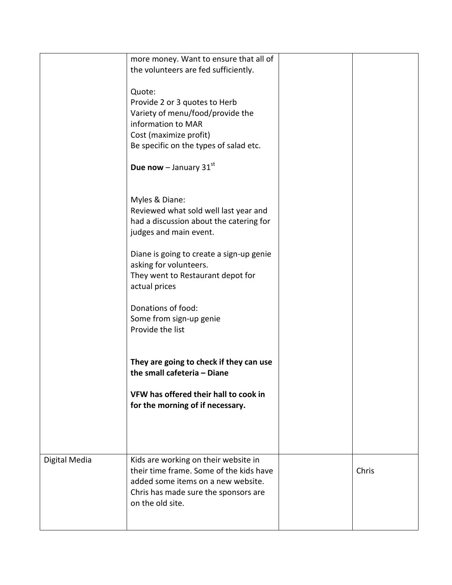| Digital Media | Kids are working on their website in<br>their time frame. Some of the kids have<br>added some items on a new website.<br>Chris has made sure the sponsors are<br>on the old site.                                       | Chris |
|---------------|-------------------------------------------------------------------------------------------------------------------------------------------------------------------------------------------------------------------------|-------|
|               | They are going to check if they can use<br>the small cafeteria - Diane<br>VFW has offered their hall to cook in<br>for the morning of if necessary.                                                                     |       |
|               | judges and main event.<br>Diane is going to create a sign-up genie<br>asking for volunteers.<br>They went to Restaurant depot for<br>actual prices<br>Donations of food:<br>Some from sign-up genie<br>Provide the list |       |
|               | <b>Due now</b> – January $31^{st}$<br>Myles & Diane:<br>Reviewed what sold well last year and<br>had a discussion about the catering for                                                                                |       |
|               | Quote:<br>Provide 2 or 3 quotes to Herb<br>Variety of menu/food/provide the<br>information to MAR<br>Cost (maximize profit)<br>Be specific on the types of salad etc.                                                   |       |
|               | more money. Want to ensure that all of<br>the volunteers are fed sufficiently.                                                                                                                                          |       |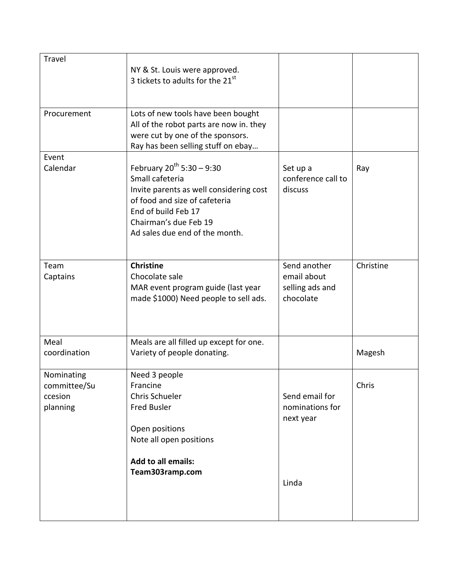| Travel                                            | NY & St. Louis were approved.<br>3 tickets to adults for the 21st                                                                                                                                               |                                                             |           |
|---------------------------------------------------|-----------------------------------------------------------------------------------------------------------------------------------------------------------------------------------------------------------------|-------------------------------------------------------------|-----------|
| Procurement                                       | Lots of new tools have been bought<br>All of the robot parts are now in. they<br>were cut by one of the sponsors.<br>Ray has been selling stuff on ebay                                                         |                                                             |           |
| Event<br>Calendar                                 | February $20^{th}$ 5:30 - 9:30<br>Small cafeteria<br>Invite parents as well considering cost<br>of food and size of cafeteria<br>End of build Feb 17<br>Chairman's due Feb 19<br>Ad sales due end of the month. | Set up a<br>conference call to<br>discuss                   | Ray       |
| Team<br>Captains                                  | <b>Christine</b><br>Chocolate sale<br>MAR event program guide (last year<br>made \$1000) Need people to sell ads.                                                                                               | Send another<br>email about<br>selling ads and<br>chocolate | Christine |
| Meal<br>coordination                              | Meals are all filled up except for one.<br>Variety of people donating.                                                                                                                                          |                                                             | Magesh    |
| Nominating<br>committee/Su<br>ccesion<br>planning | Need 3 people<br>Francine<br>Chris Schueler<br><b>Fred Busler</b><br>Open positions<br>Note all open positions                                                                                                  | Send email for<br>nominations for<br>next year              | Chris     |
|                                                   | <b>Add to all emails:</b><br>Team303ramp.com                                                                                                                                                                    | Linda                                                       |           |